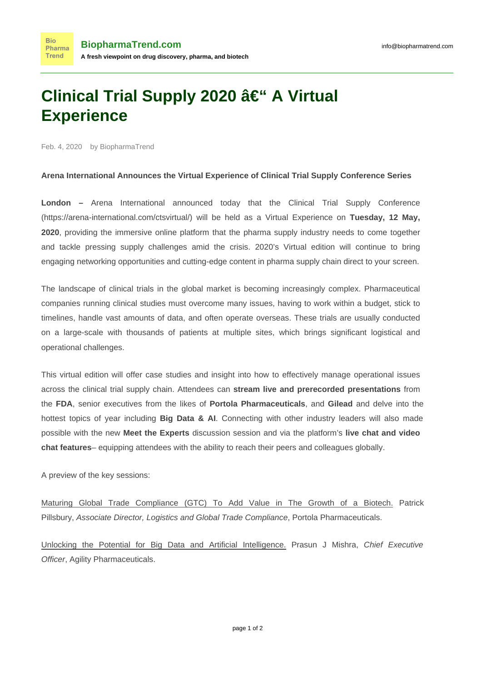## **Clinical Trial Supply 2020 – A Virtual Experience**

Feb. 4, 2020 by BiopharmaTrend

**Bio** 

## **Arena International Announces the Virtual Experience of Clinical Trial Supply Conference Series**

**London –** Arena International announced today that the Clinical Trial Supply Conference [\(https://arena-international.com/ctsvirtual/](https://arena-international.com/ctsvirtual/)) will be held as a Virtual Experience on **Tuesday, 12 May, 2020**, providing the immersive online platform that the pharma supply industry needs to come together and tackle pressing supply challenges amid the crisis. 2020's Virtual edition will continue to bring engaging networking opportunities and cutting-edge content in pharma supply chain direct to your screen.

The landscape of clinical trials in the global market is becoming increasingly complex. Pharmaceutical companies running clinical studies must overcome many issues, having to work within a budget, stick to timelines, handle vast amounts of data, and often operate overseas. These trials are usually conducted on a large-scale with thousands of patients at multiple sites, which brings significant logistical and operational challenges.

This virtual edition will offer case studies and insight into how to effectively manage operational issues across the clinical trial supply chain. Attendees can **stream live and prerecorded presentations** from the **FDA**, senior executives from the likes of **Portola Pharmaceuticals**, and **Gilead** and delve into the hottest topics of year including **Big Data & AI**. Connecting with other industry leaders will also made possible with the new **Meet the Experts** discussion session and via the platform's **live chat and video chat features**– equipping attendees with the ability to reach their peers and colleagues globally.

A preview of the key sessions:

Maturing Global Trade Compliance (GTC) To Add Value in The Growth of a Biotech. Patrick Pillsbury, Associate Director, Logistics and Global Trade Compliance, Portola Pharmaceuticals.

Unlocking the Potential for Big Data and Artificial Intelligence. Prasun J Mishra, Chief Executive Officer, Agility Pharmaceuticals.